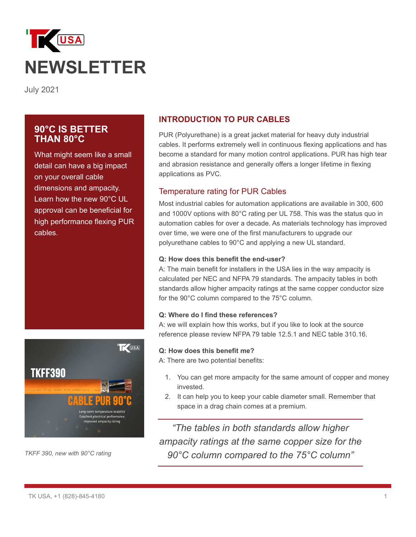

July 2021

# **90°C IS BETTER THAN 80°C**

What might seem like a small detail can have a big impact on your overall cable dimensions and ampacity. Learn how the new 90°C UL approval can be beneficial for high performance flexing PUR cables.



*TKFF 390, new with 90°C rating*

## **INTRODUCTION TO PUR CABLES**

PUR (Polyurethane) is a great jacket material for heavy duty industrial cables. It performs extremely well in continuous flexing applications and has become a standard for many motion control applications. PUR has high tear and abrasion resistance and generally offers a longer lifetime in flexing applications as PVC.

### Temperature rating for PUR Cables

Most industrial cables for automation applications are available in 300, 600 and 1000V options with 80°C rating per UL 758. This was the status quo in automation cables for over a decade. As materials technology has improved over time, we were one of the first manufacturers to upgrade our polyurethane cables to 90°C and applying a new UL standard.

### **Q: How does this benefit the end-user?**

A: The main benefit for installers in the USA lies in the way ampacity is calculated per NEC and NFPA 79 standards. The ampacity tables in both standards allow higher ampacity ratings at the same copper conductor size for the 90°C column compared to the 75°C column.

### **Q: Where do I find these references?**

A: we will explain how this works, but if you like to look at the source reference please review NFPA 79 table 12.5.1 and NEC table 310.16.

#### **Q: How does this benefit me?**

A: There are two potential benefits:

- 1. You can get more ampacity for the same amount of copper and money invested.
- 2. It can help you to keep your cable diameter small. Remember that space in a drag chain comes at a premium.

*"The tables in both standards allow higher ampacity ratings at the same copper size for the 90°C column compared to the 75°C column"*